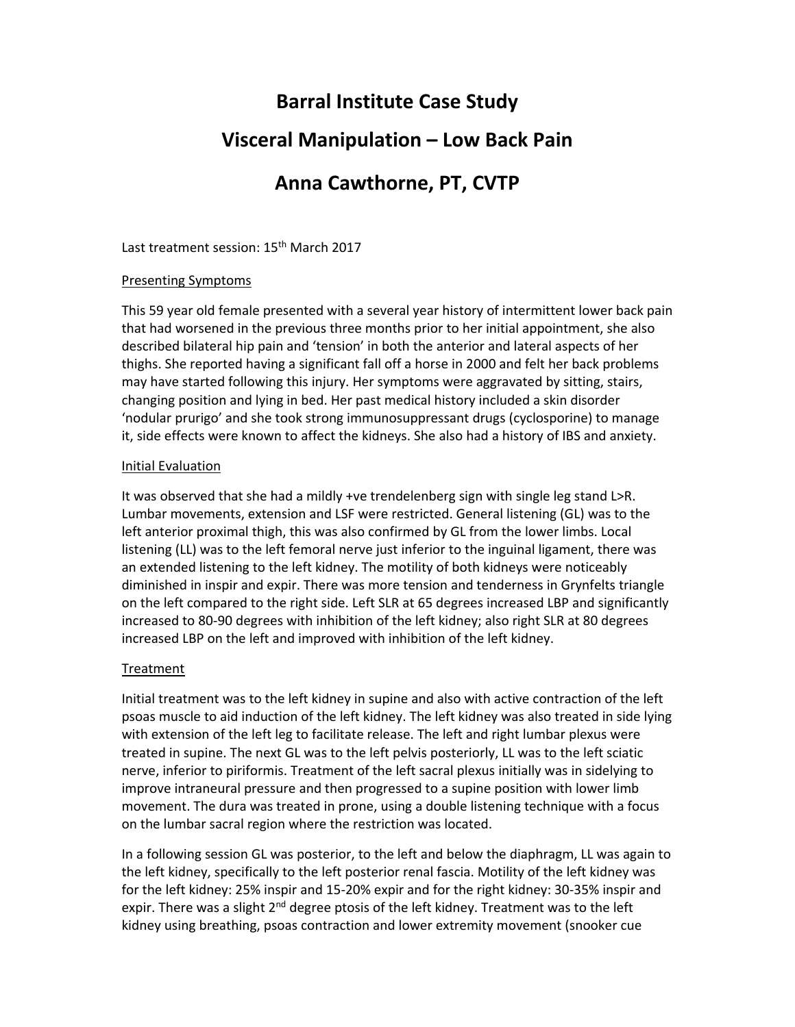# **Barral Institute Case Study**

### **Visceral Manipulation – Low Back Pain**

## **Anna Cawthorne, PT, CVTP**

Last treatment session: 15<sup>th</sup> March 2017

#### Presenting Symptoms

This 59 year old female presented with a several year history of intermittent lower back pain that had worsened in the previous three months prior to her initial appointment, she also described bilateral hip pain and 'tension' in both the anterior and lateral aspects of her thighs. She reported having a significant fall off a horse in 2000 and felt her back problems may have started following this injury. Her symptoms were aggravated by sitting, stairs, changing position and lying in bed. Her past medical history included a skin disorder 'nodular prurigo' and she took strong immunosuppressant drugs (cyclosporine) to manage it, side effects were known to affect the kidneys. She also had a history of IBS and anxiety.

#### Initial Evaluation

It was observed that she had a mildly +ve trendelenberg sign with single leg stand L>R. Lumbar movements, extension and LSF were restricted. General listening (GL) was to the left anterior proximal thigh, this was also confirmed by GL from the lower limbs. Local listening (LL) was to the left femoral nerve just inferior to the inguinal ligament, there was an extended listening to the left kidney. The motility of both kidneys were noticeably diminished in inspir and expir. There was more tension and tenderness in Grynfelts triangle on the left compared to the right side. Left SLR at 65 degrees increased LBP and significantly increased to 80‐90 degrees with inhibition of the left kidney; also right SLR at 80 degrees increased LBP on the left and improved with inhibition of the left kidney.

#### Treatment

Initial treatment was to the left kidney in supine and also with active contraction of the left psoas muscle to aid induction of the left kidney. The left kidney was also treated in side lying with extension of the left leg to facilitate release. The left and right lumbar plexus were treated in supine. The next GL was to the left pelvis posteriorly, LL was to the left sciatic nerve, inferior to piriformis. Treatment of the left sacral plexus initially was in sidelying to improve intraneural pressure and then progressed to a supine position with lower limb movement. The dura was treated in prone, using a double listening technique with a focus on the lumbar sacral region where the restriction was located.

In a following session GL was posterior, to the left and below the diaphragm, LL was again to the left kidney, specifically to the left posterior renal fascia. Motility of the left kidney was for the left kidney: 25% inspir and 15‐20% expir and for the right kidney: 30‐35% inspir and expir. There was a slight  $2^{nd}$  degree ptosis of the left kidney. Treatment was to the left kidney using breathing, psoas contraction and lower extremity movement (snooker cue